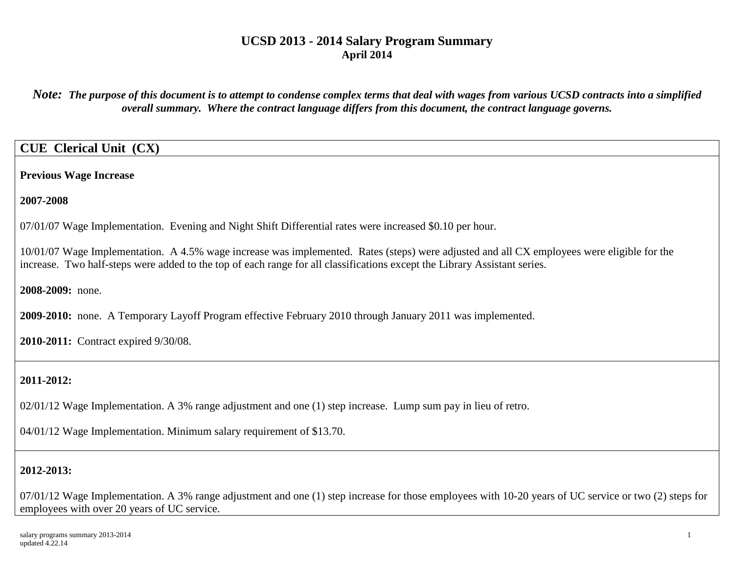*Note: The purpose of this document is to attempt to condense complex terms that deal with wages from various UCSD contracts into a simplified overall summary. Where the contract language differs from this document, the contract language governs.*

# **CUE Clerical Unit (CX)**

**Previous Wage Increase**

**2007-2008**

07/01/07 Wage Implementation. Evening and Night Shift Differential rates were increased \$0.10 per hour.

10/01/07 Wage Implementation. A 4.5% wage increase was implemented. Rates (steps) were adjusted and all CX employees were eligible for the increase. Two half-steps were added to the top of each range for all classifications except the Library Assistant series.

**2008-2009:** none.

**2009-2010:** none. A Temporary Layoff Program effective February 2010 through January 2011 was implemented.

**2010-2011:** Contract expired 9/30/08.

# **2011-2012:**

02/01/12 Wage Implementation. A 3% range adjustment and one (1) step increase. Lump sum pay in lieu of retro.

04/01/12 Wage Implementation. Minimum salary requirement of \$13.70.

# **2012-2013:**

07/01/12 Wage Implementation. A 3% range adjustment and one (1) step increase for those employees with 10-20 years of UC service or two (2) steps for employees with over 20 years of UC service.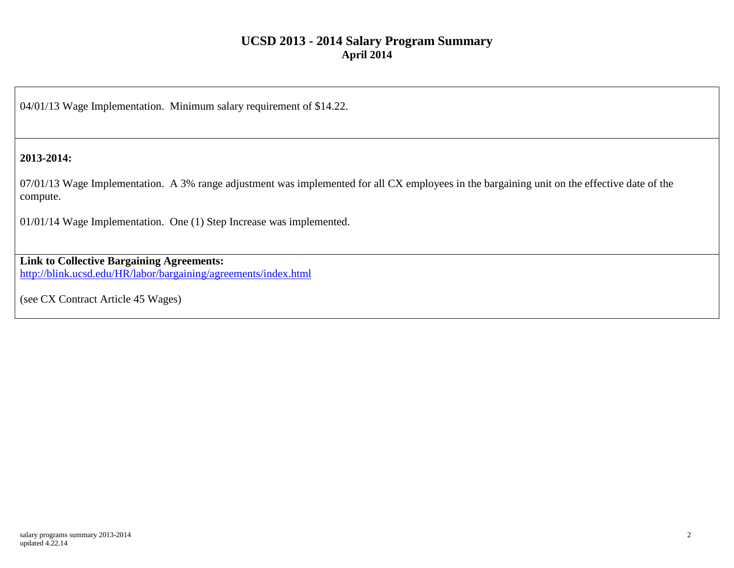04/01/13 Wage Implementation. Minimum salary requirement of \$14.22.

### **2013-2014:**

07/01/13 Wage Implementation. A 3% range adjustment was implemented for all CX employees in the bargaining unit on the effective date of the compute.

01/01/14 Wage Implementation. One (1) Step Increase was implemented.

# **Link to Collective Bargaining Agreements:**

<http://blink.ucsd.edu/HR/labor/bargaining/agreements/index.html>

(see CX Contract Article 45 Wages)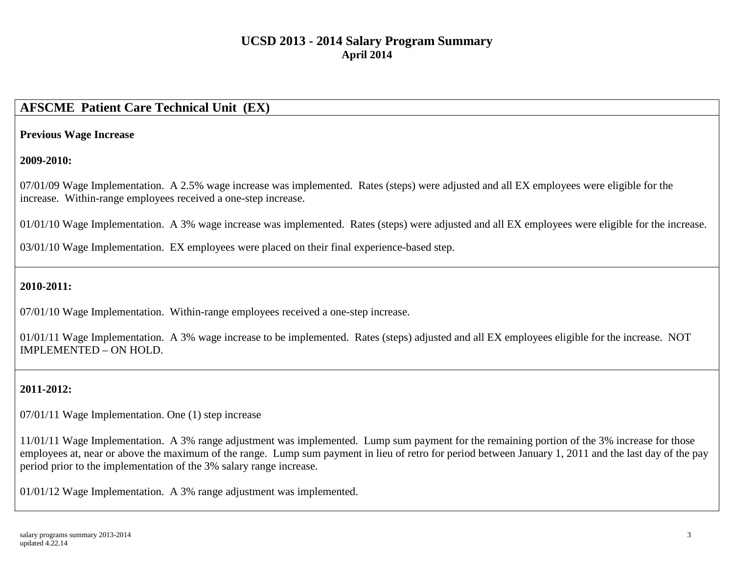# **AFSCME Patient Care Technical Unit (EX)**

#### **Previous Wage Increase**

### **2009-2010:**

07/01/09 Wage Implementation. A 2.5% wage increase was implemented. Rates (steps) were adjusted and all EX employees were eligible for the increase. Within-range employees received a one-step increase.

01/01/10 Wage Implementation. A 3% wage increase was implemented. Rates (steps) were adjusted and all EX employees were eligible for the increase.

03/01/10 Wage Implementation. EX employees were placed on their final experience-based step.

### **2010-2011:**

07/01/10 Wage Implementation. Within-range employees received a one-step increase.

01/01/11 Wage Implementation. A 3% wage increase to be implemented. Rates (steps) adjusted and all EX employees eligible for the increase. NOT IMPLEMENTED – ON HOLD.

# **2011-2012:**

07/01/11 Wage Implementation. One (1) step increase

11/01/11 Wage Implementation. A 3% range adjustment was implemented. Lump sum payment for the remaining portion of the 3% increase for those employees at, near or above the maximum of the range. Lump sum payment in lieu of retro for period between January 1, 2011 and the last day of the pay period prior to the implementation of the 3% salary range increase.

01/01/12 Wage Implementation. A 3% range adjustment was implemented.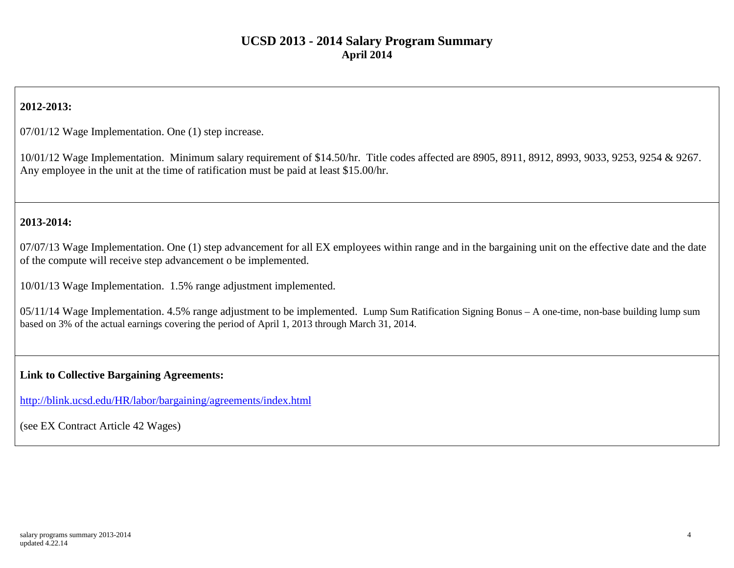# **2012-2013:**

07/01/12 Wage Implementation. One (1) step increase.

10/01/12 Wage Implementation. Minimum salary requirement of \$14.50/hr. Title codes affected are 8905, 8911, 8912, 8993, 9033, 9253, 9254 & 9267. Any employee in the unit at the time of ratification must be paid at least \$15.00/hr.

### **2013-2014:**

07/07/13 Wage Implementation. One (1) step advancement for all EX employees within range and in the bargaining unit on the effective date and the date of the compute will receive step advancement o be implemented.

10/01/13 Wage Implementation. 1.5% range adjustment implemented.

05/11/14 Wage Implementation. 4.5% range adjustment to be implemented. Lump Sum Ratification Signing Bonus – A one-time, non-base building lump sum based on 3% of the actual earnings covering the period of April 1, 2013 through March 31, 2014.

#### **Link to Collective Bargaining Agreements:**

<http://blink.ucsd.edu/HR/labor/bargaining/agreements/index.html>

(see EX Contract Article 42 Wages)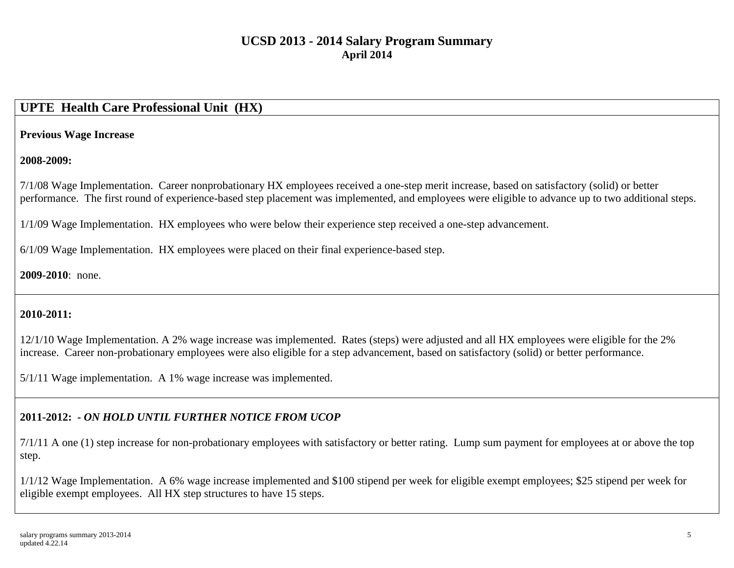# **UPTE Health Care Professional Unit (HX)**

### **Previous Wage Increase**

### **2008-2009:**

7/1/08 Wage Implementation. Career nonprobationary HX employees received a one-step merit increase, based on satisfactory (solid) or better performance. The first round of experience-based step placement was implemented, and employees were eligible to advance up to two additional steps.

1/1/09 Wage Implementation. HX employees who were below their experience step received a one-step advancement.

6/1/09 Wage Implementation. HX employees were placed on their final experience-based step.

### **2009-2010**: none.

### **2010-2011:**

12/1/10 Wage Implementation. A 2% wage increase was implemented. Rates (steps) were adjusted and all HX employees were eligible for the 2% increase. Career non-probationary employees were also eligible for a step advancement, based on satisfactory (solid) or better performance.

5/1/11 Wage implementation. A 1% wage increase was implemented.

# **2011-2012: -** *ON HOLD UNTIL FURTHER NOTICE FROM UCOP*

7/1/11 A one (1) step increase for non-probationary employees with satisfactory or better rating. Lump sum payment for employees at or above the top step.

1/1/12 Wage Implementation. A 6% wage increase implemented and \$100 stipend per week for eligible exempt employees; \$25 stipend per week for eligible exempt employees. All HX step structures to have 15 steps.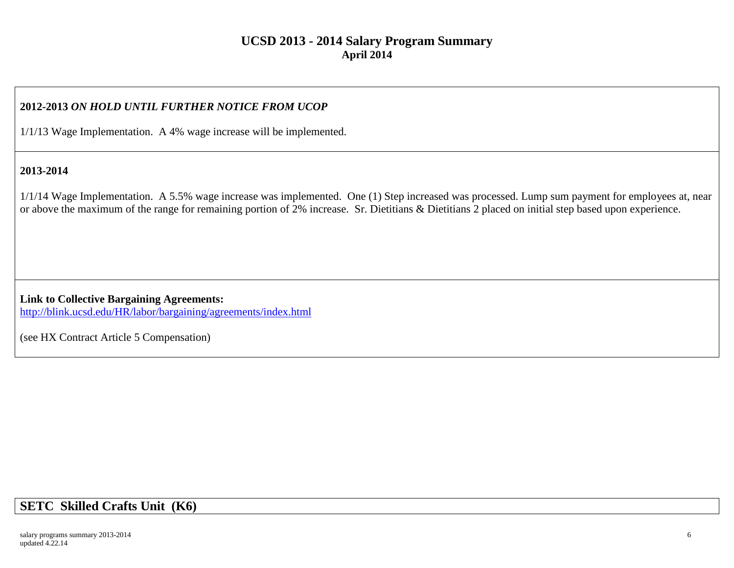### **2012-2013** *ON HOLD UNTIL FURTHER NOTICE FROM UCOP*

1/1/13 Wage Implementation. A 4% wage increase will be implemented.

### **2013-2014**

1/1/14 Wage Implementation. A 5.5% wage increase was implemented. One (1) Step increased was processed. Lump sum payment for employees at, near or above the maximum of the range for remaining portion of 2% increase. Sr. Dietitians & Dietitians 2 placed on initial step based upon experience.

**Link to Collective Bargaining Agreements:**  http://blink.ucsd.edu/HR/labor/bargaining/agreements/index.html

(see HX Contract Article 5 Compensation)

# **SETC Skilled Crafts Unit (K6)**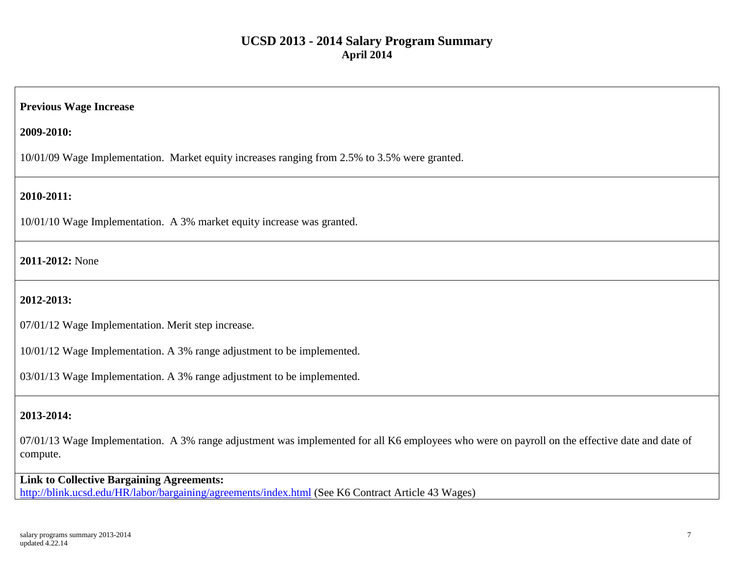#### **Previous Wage Increase**

**2009-2010:**

10/01/09 Wage Implementation. Market equity increases ranging from 2.5% to 3.5% were granted.

### **2010-2011:**

10/01/10 Wage Implementation. A 3% market equity increase was granted.

#### **2011-2012:** None

### **2012-2013:**

07/01/12 Wage Implementation. Merit step increase.

10/01/12 Wage Implementation. A 3% range adjustment to be implemented.

03/01/13 Wage Implementation. A 3% range adjustment to be implemented.

### **2013-2014:**

07/01/13 Wage Implementation. A 3% range adjustment was implemented for all K6 employees who were on payroll on the effective date and date of compute.

**Link to Collective Bargaining Agreements:**  <http://blink.ucsd.edu/HR/labor/bargaining/agreements/index.html> (See K6 Contract Article 43 Wages)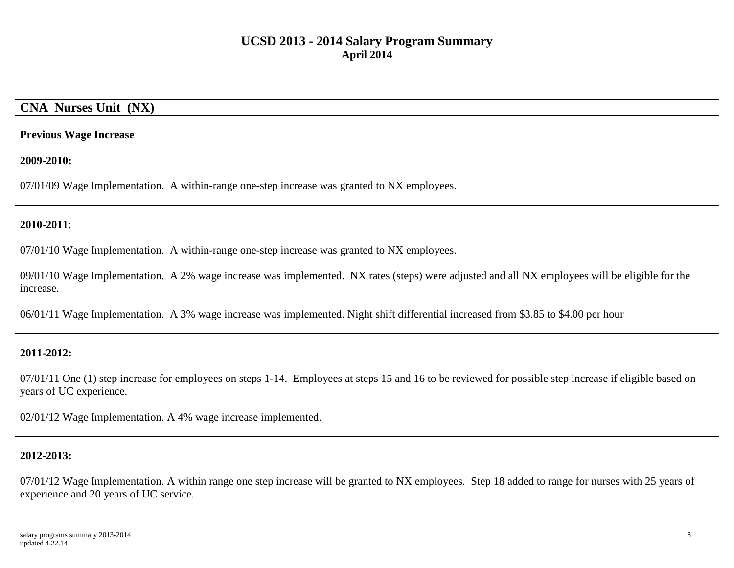# **CNA Nurses Unit (NX)**

#### **Previous Wage Increase**

#### **2009-2010:**

07/01/09 Wage Implementation. A within-range one-step increase was granted to NX employees.

### **2010-2011**:

07/01/10 Wage Implementation. A within-range one-step increase was granted to NX employees.

09/01/10 Wage Implementation. A 2% wage increase was implemented. NX rates (steps) were adjusted and all NX employees will be eligible for the increase.

06/01/11 Wage Implementation. A 3% wage increase was implemented. Night shift differential increased from \$3.85 to \$4.00 per hour

### **2011-2012:**

07/01/11 One (1) step increase for employees on steps 1-14. Employees at steps 15 and 16 to be reviewed for possible step increase if eligible based on years of UC experience.

02/01/12 Wage Implementation. A 4% wage increase implemented.

### **2012-2013:**

07/01/12 Wage Implementation. A within range one step increase will be granted to NX employees. Step 18 added to range for nurses with 25 years of experience and 20 years of UC service.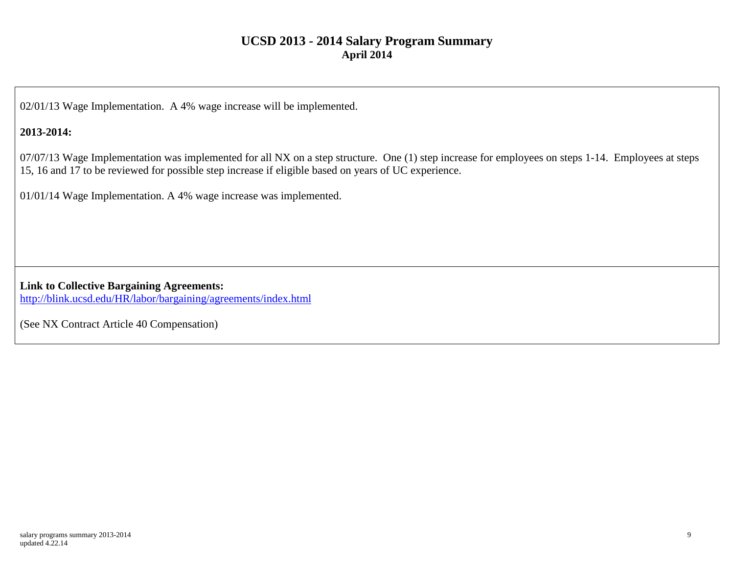02/01/13 Wage Implementation. A 4% wage increase will be implemented.

### **2013-2014:**

07/07/13 Wage Implementation was implemented for all NX on a step structure. One (1) step increase for employees on steps 1-14. Employees at steps 15, 16 and 17 to be reviewed for possible step increase if eligible based on years of UC experience.

01/01/14 Wage Implementation. A 4% wage increase was implemented.

**Link to Collective Bargaining Agreements:** <http://blink.ucsd.edu/HR/labor/bargaining/agreements/index.html>

(See NX Contract Article 40 Compensation)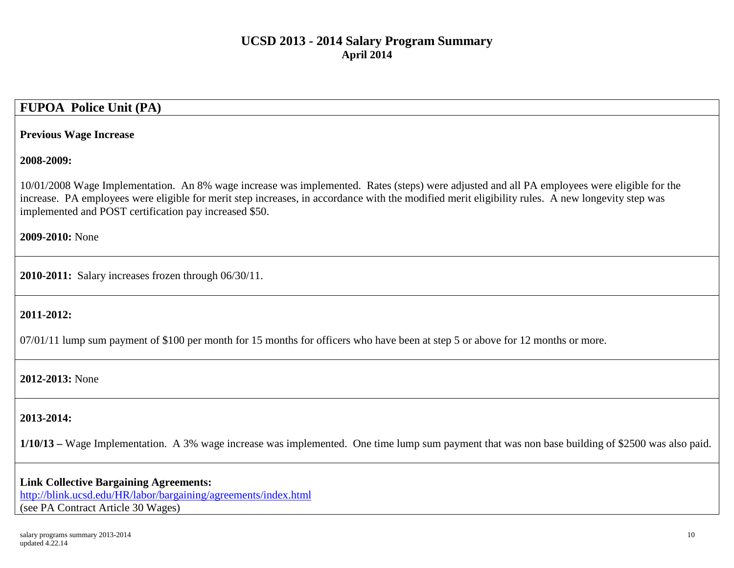# **FUPOA Police Unit (PA)**

#### **Previous Wage Increase**

#### **2008-2009:**

10/01/2008 Wage Implementation. An 8% wage increase was implemented. Rates (steps) were adjusted and all PA employees were eligible for the increase. PA employees were eligible for merit step increases, in accordance with the modified merit eligibility rules. A new longevity step was implemented and POST certification pay increased \$50.

**2009-2010:** None

**2010-2011:** Salary increases frozen through 06/30/11.

#### **2011-2012:**

07/01/11 lump sum payment of \$100 per month for 15 months for officers who have been at step 5 or above for 12 months or more.

#### **2012-2013:** None

#### **2013-2014:**

**1/10/13 –** Wage Implementation. A 3% wage increase was implemented. One time lump sum payment that was non base building of \$2500 was also paid.

**Link Collective Bargaining Agreements:** <http://blink.ucsd.edu/HR/labor/bargaining/agreements/index.html> (see PA Contract Article 30 Wages)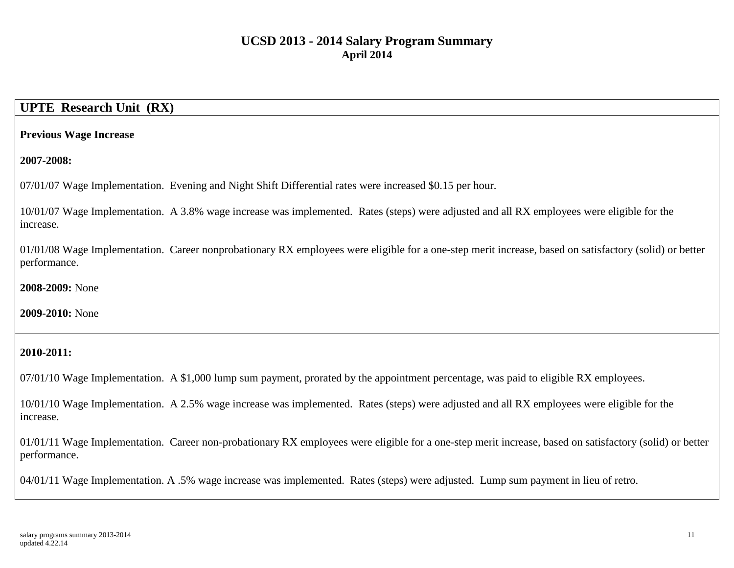# **UPTE Research Unit (RX)**

#### **Previous Wage Increase**

**2007-2008:**

07/01/07 Wage Implementation. Evening and Night Shift Differential rates were increased \$0.15 per hour.

10/01/07 Wage Implementation. A 3.8% wage increase was implemented. Rates (steps) were adjusted and all RX employees were eligible for the increase.

01/01/08 Wage Implementation. Career nonprobationary RX employees were eligible for a one-step merit increase, based on satisfactory (solid) or better performance.

**2008-2009:** None

**2009-2010:** None

#### **2010-2011:**

07/01/10 Wage Implementation. A \$1,000 lump sum payment, prorated by the appointment percentage, was paid to eligible RX employees.

10/01/10 Wage Implementation. A 2.5% wage increase was implemented. Rates (steps) were adjusted and all RX employees were eligible for the increase.

01/01/11 Wage Implementation. Career non-probationary RX employees were eligible for a one-step merit increase, based on satisfactory (solid) or better performance.

04/01/11 Wage Implementation. A .5% wage increase was implemented. Rates (steps) were adjusted. Lump sum payment in lieu of retro.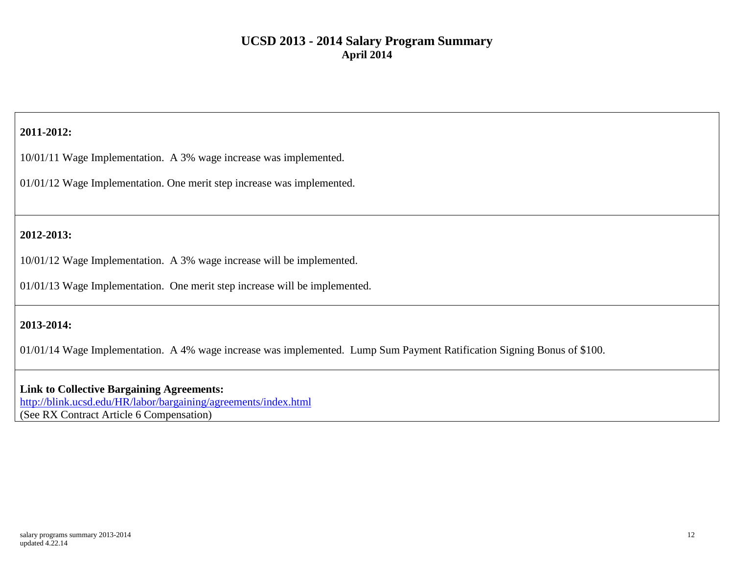### **2011-2012:**

10/01/11 Wage Implementation. A 3% wage increase was implemented.

01/01/12 Wage Implementation. One merit step increase was implemented.

### **2012-2013:**

10/01/12 Wage Implementation. A 3% wage increase will be implemented.

01/01/13 Wage Implementation. One merit step increase will be implemented.

### **2013-2014:**

01/01/14 Wage Implementation. A 4% wage increase was implemented. Lump Sum Payment Ratification Signing Bonus of \$100.

**Link to Collective Bargaining Agreements:** <http://blink.ucsd.edu/HR/labor/bargaining/agreements/index.html> (See RX Contract Article 6 Compensation)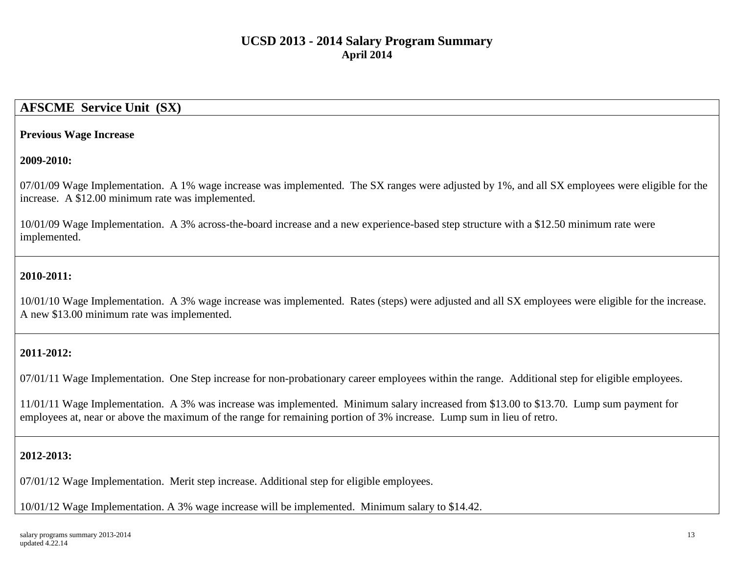# **AFSCME Service Unit (SX)**

#### **Previous Wage Increase**

#### **2009-2010:**

07/01/09 Wage Implementation. A 1% wage increase was implemented. The SX ranges were adjusted by 1%, and all SX employees were eligible for the increase. A \$12.00 minimum rate was implemented.

10/01/09 Wage Implementation. A 3% across-the-board increase and a new experience-based step structure with a \$12.50 minimum rate were implemented.

### **2010-2011:**

10/01/10 Wage Implementation. A 3% wage increase was implemented. Rates (steps) were adjusted and all SX employees were eligible for the increase. A new \$13.00 minimum rate was implemented.

### **2011-2012:**

07/01/11 Wage Implementation. One Step increase for non-probationary career employees within the range. Additional step for eligible employees.

11/01/11 Wage Implementation. A 3% was increase was implemented. Minimum salary increased from \$13.00 to \$13.70. Lump sum payment for employees at, near or above the maximum of the range for remaining portion of 3% increase. Lump sum in lieu of retro.

### **2012-2013:**

07/01/12 Wage Implementation. Merit step increase. Additional step for eligible employees.

10/01/12 Wage Implementation. A 3% wage increase will be implemented. Minimum salary to \$14.42.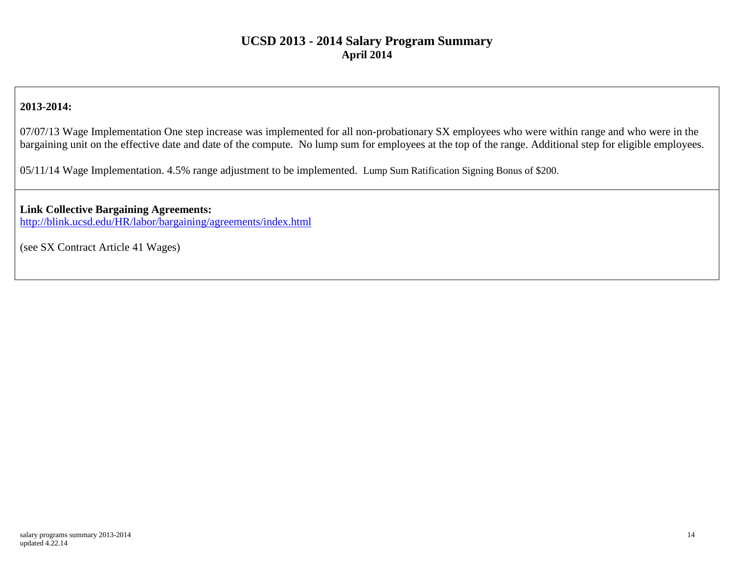### **2013-2014:**

07/07/13 Wage Implementation One step increase was implemented for all non-probationary SX employees who were within range and who were in the bargaining unit on the effective date and date of the compute. No lump sum for employees at the top of the range. Additional step for eligible employees.

05/11/14 Wage Implementation. 4.5% range adjustment to be implemented. Lump Sum Ratification Signing Bonus of \$200.

# **Link Collective Bargaining Agreements:**

<http://blink.ucsd.edu/HR/labor/bargaining/agreements/index.html>

(see SX Contract Article 41 Wages)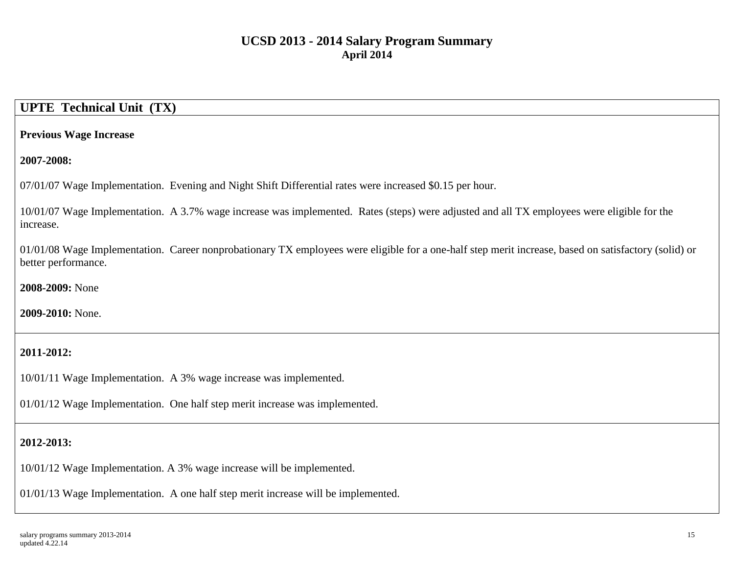# **UPTE Technical Unit (TX)**

### **Previous Wage Increase**

**2007-2008:**

07/01/07 Wage Implementation. Evening and Night Shift Differential rates were increased \$0.15 per hour.

10/01/07 Wage Implementation. A 3.7% wage increase was implemented. Rates (steps) were adjusted and all TX employees were eligible for the increase.

01/01/08 Wage Implementation. Career nonprobationary TX employees were eligible for a one-half step merit increase, based on satisfactory (solid) or better performance.

**2008-2009:** None

**2009-2010:** None.

### **2011-2012:**

10/01/11 Wage Implementation. A 3% wage increase was implemented.

01/01/12 Wage Implementation. One half step merit increase was implemented.

### **2012-2013:**

10/01/12 Wage Implementation. A 3% wage increase will be implemented.

01/01/13 Wage Implementation. A one half step merit increase will be implemented.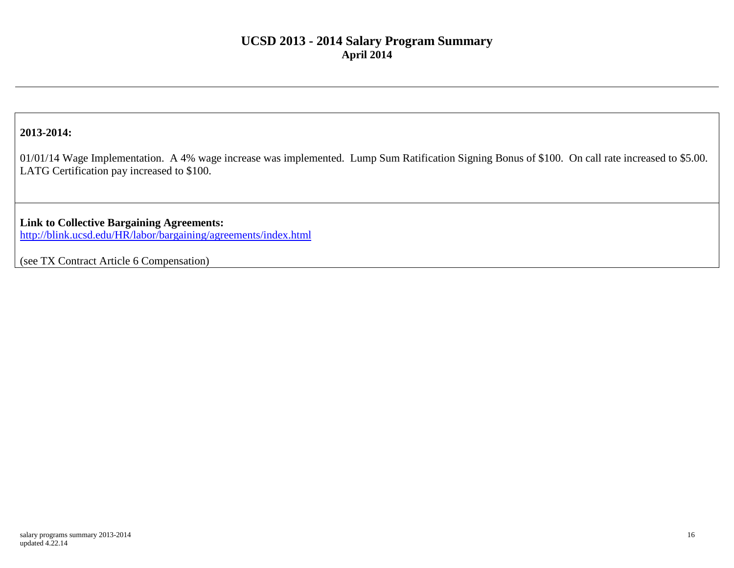### **2013-2014:**

01/01/14 Wage Implementation. A 4% wage increase was implemented. Lump Sum Ratification Signing Bonus of \$100. On call rate increased to \$5.00. LATG Certification pay increased to \$100.

**Link to Collective Bargaining Agreements:** <http://blink.ucsd.edu/HR/labor/bargaining/agreements/index.html>

(see TX Contract Article 6 Compensation)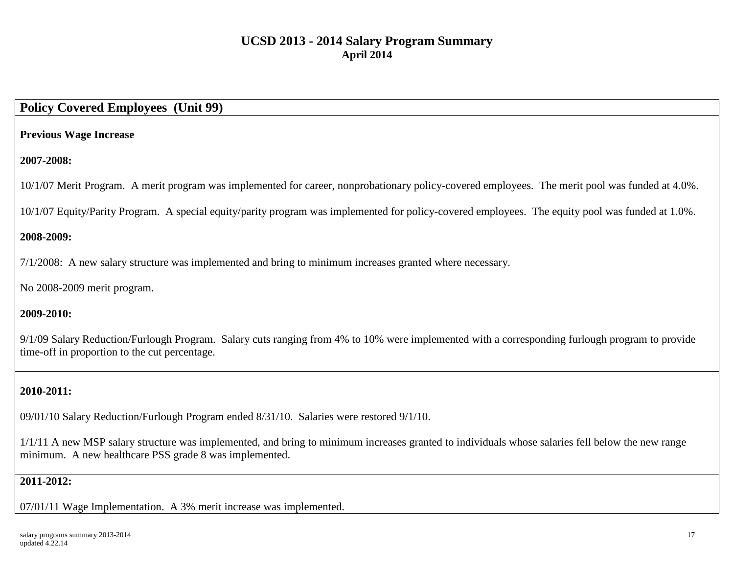# **Policy Covered Employees (Unit 99)**

### **Previous Wage Increase**

### **2007-2008:**

10/1/07 Merit Program. A merit program was implemented for career, nonprobationary policy-covered employees. The merit pool was funded at 4.0%.

10/1/07 Equity/Parity Program. A special equity/parity program was implemented for policy-covered employees. The equity pool was funded at 1.0%.

### **2008-2009:**

7/1/2008: A new salary structure was implemented and bring to minimum increases granted where necessary.

No 2008-2009 merit program.

### **2009-2010:**

9/1/09 Salary Reduction/Furlough Program. Salary cuts ranging from 4% to 10% were implemented with a corresponding furlough program to provide time-off in proportion to the cut percentage.

# **2010-2011:**

09/01/10 Salary Reduction/Furlough Program ended 8/31/10. Salaries were restored 9/1/10.

1/1/11 A new MSP salary structure was implemented, and bring to minimum increases granted to individuals whose salaries fell below the new range minimum. A new healthcare PSS grade 8 was implemented.

### **2011-2012:**

07/01/11 Wage Implementation. A 3% merit increase was implemented.